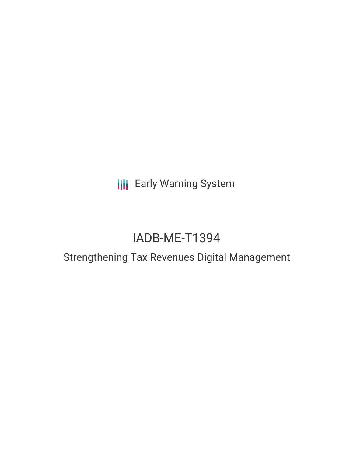**III** Early Warning System

# IADB-ME-T1394

## Strengthening Tax Revenues Digital Management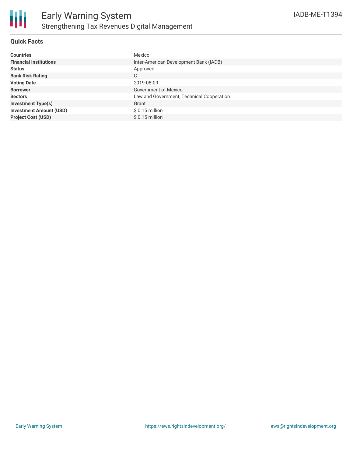

#### **Quick Facts**

| <b>Countries</b>               | Mexico                                    |
|--------------------------------|-------------------------------------------|
| <b>Financial Institutions</b>  | Inter-American Development Bank (IADB)    |
| <b>Status</b>                  | Approved                                  |
| <b>Bank Risk Rating</b>        | C                                         |
| <b>Voting Date</b>             | 2019-08-09                                |
| <b>Borrower</b>                | Government of Mexico                      |
| <b>Sectors</b>                 | Law and Government, Technical Cooperation |
| <b>Investment Type(s)</b>      | Grant                                     |
| <b>Investment Amount (USD)</b> | $$0.15$ million                           |
| <b>Project Cost (USD)</b>      | $$0.15$ million                           |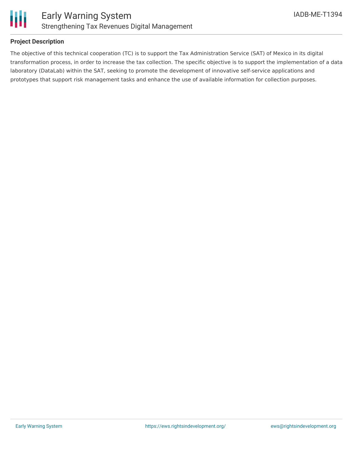

#### **Project Description**

The objective of this technical cooperation (TC) is to support the Tax Administration Service (SAT) of Mexico in its digital transformation process, in order to increase the tax collection. The specific objective is to support the implementation of a data laboratory (DataLab) within the SAT, seeking to promote the development of innovative self-service applications and prototypes that support risk management tasks and enhance the use of available information for collection purposes.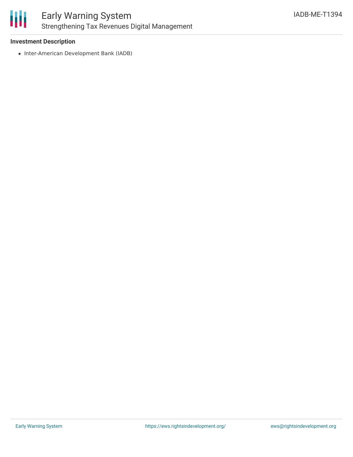

#### **Investment Description**

• Inter-American Development Bank (IADB)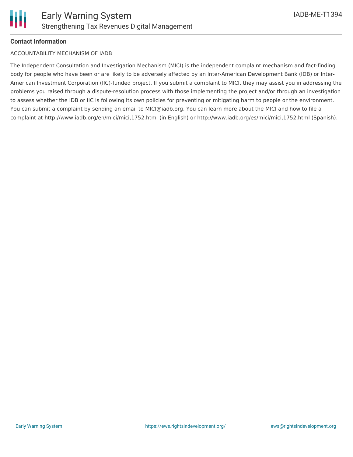

#### **Contact Information**

#### ACCOUNTABILITY MECHANISM OF IADB

The Independent Consultation and Investigation Mechanism (MICI) is the independent complaint mechanism and fact-finding body for people who have been or are likely to be adversely affected by an Inter-American Development Bank (IDB) or Inter-American Investment Corporation (IIC)-funded project. If you submit a complaint to MICI, they may assist you in addressing the problems you raised through a dispute-resolution process with those implementing the project and/or through an investigation to assess whether the IDB or IIC is following its own policies for preventing or mitigating harm to people or the environment. You can submit a complaint by sending an email to MICI@iadb.org. You can learn more about the MICI and how to file a complaint at http://www.iadb.org/en/mici/mici,1752.html (in English) or http://www.iadb.org/es/mici/mici,1752.html (Spanish).